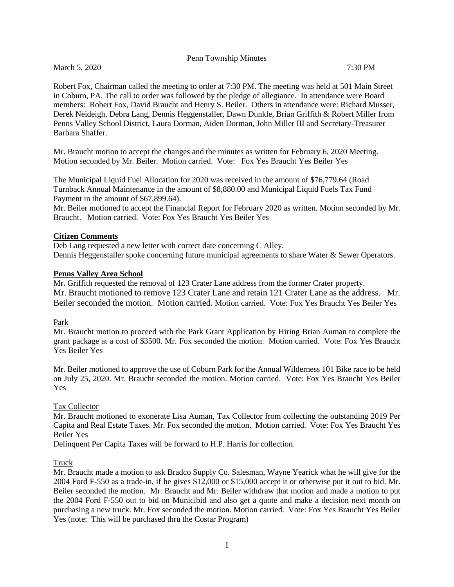|  |  |  | Penn Township Minutes |
|--|--|--|-----------------------|
|--|--|--|-----------------------|

March 5, 2020 7:30 PM

Robert Fox, Chairman called the meeting to order at 7:30 PM. The meeting was held at 501 Main Street in Coburn, PA. The call to order was followed by the pledge of allegiance. In attendance were Board members: Robert Fox, David Braucht and Henry S. Beiler. Others in attendance were: Richard Musser, Derek Neideigh, Debra Lang, Dennis Heggenstaller, Dawn Dunkle, Brian Griffith & Robert Miller from Penns Valley School District, Laura Dorman, Aiden Dorman, John Miller III and Secretary-Treasurer Barbara Shaffer.

Mr. Braucht motion to accept the changes and the minutes as written for February 6, 2020 Meeting. Motion seconded by Mr. Beiler. Motion carried. Vote: Fox Yes Braucht Yes Beiler Yes

The Municipal Liquid Fuel Allocation for 2020 was received in the amount of \$76,779.64 (Road Turnback Annual Maintenance in the amount of \$8,880.00 and Municipal Liquid Fuels Tax Fund Payment in the amount of \$67,899.64).

Mr. Beiler motioned to accept the Financial Report for February 2020 as written. Motion seconded by Mr. Braucht. Motion carried. Vote: Fox Yes Braucht Yes Beiler Yes

# **Citizen Comments**

Deb Lang requested a new letter with correct date concerning C Alley. Dennis Heggenstaller spoke concerning future municipal agreements to share Water & Sewer Operators.

# **Penns Valley Area School**

Mr. Griffith requested the removal of 123 Crater Lane address from the former Crater property. Mr. Braucht motioned to remove 123 Crater Lane and retain 121 Crater Lane as the address. Mr. Beiler seconded the motion. Motion carried. Motion carried. Vote: Fox Yes Braucht Yes Beiler Yes

## Park

Mr. Braucht motion to proceed with the Park Grant Application by Hiring Brian Auman to complete the grant package at a cost of \$3500. Mr. Fox seconded the motion. Motion carried. Vote: Fox Yes Braucht Yes Beiler Yes

Mr. Beiler motioned to approve the use of Coburn Park for the Annual Wilderness 101 Bike race to be held on July 25, 2020. Mr. Braucht seconded the motion. Motion carried. Vote: Fox Yes Braucht Yes Beiler Yes

# Tax Collector

Mr. Braucht motioned to exonerate Lisa Auman, Tax Collector from collecting the outstanding 2019 Per Capita and Real Estate Taxes. Mr. Fox seconded the motion. Motion carried. Vote: Fox Yes Braucht Yes Beiler Yes

Delinquent Per Capita Taxes will be forward to H.P. Harris for collection.

Truck

Mr. Braucht made a motion to ask Bradco Supply Co. Salesman, Wayne Yearick what he will give for the 2004 Ford F-550 as a trade-in, if he gives \$12,000 or \$15,000 accept it or otherwise put it out to bid. Mr. Beiler seconded the motion. Mr. Braucht and Mr. Beiler withdraw that motion and made a motion to put the 2004 Ford F-550 out to bid on Municibid and also get a quote and make a decision next month on purchasing a new truck. Mr. Fox seconded the motion. Motion carried. Vote: Fox Yes Braucht Yes Beiler Yes (note: This will be purchased thru the Costar Program)